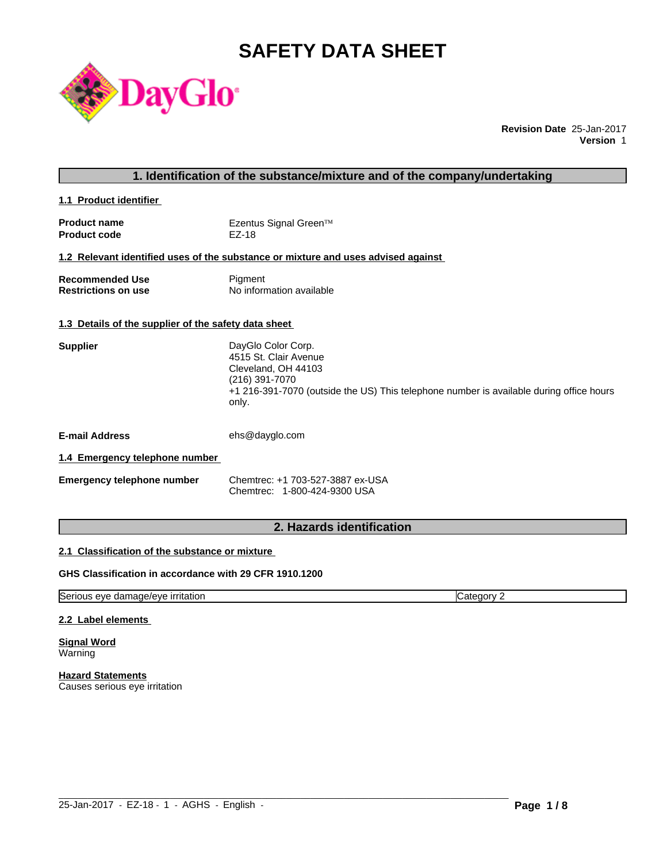# **SAFETY DATA SHEET**



**Revision Date** 25-Jan-2017 **Version** 1

# **1. Identification of the substance/mixture and of the company/undertaking**

**1.1 Product identifier** 

| <b>Product name</b> | Ezentus Signal Green™ |
|---------------------|-----------------------|
| <b>Product code</b> | EZ-18                 |

#### **1.2 Relevant identified uses of the substance or mixture and uses advised against**

| <b>Recommended Use</b>     | Pigment                  |
|----------------------------|--------------------------|
| <b>Restrictions on use</b> | No information available |

#### **1.3 Details of the supplier of the safety data sheet**

| <b>Supplier</b> | DayGlo Color Corp.                                                                      |
|-----------------|-----------------------------------------------------------------------------------------|
|                 | 4515 St. Clair Avenue                                                                   |
|                 | Cleveland, OH 44103                                                                     |
|                 | (216) 391-7070                                                                          |
|                 | +1 216-391-7070 (outside the US) This telephone number is available during office hours |
|                 | only.                                                                                   |

**E-mail Address** ehs@dayglo.com

#### **1.4 Emergency telephone number**

| <b>Emergency telephone number</b> | Chemtrec: +1 703-527-3887 ex-USA |
|-----------------------------------|----------------------------------|
|                                   | Chemtrec: 1-800-424-9300 USA     |

# **2. Hazards identification**

 $\_$  ,  $\_$  ,  $\_$  ,  $\_$  ,  $\_$  ,  $\_$  ,  $\_$  ,  $\_$  ,  $\_$  ,  $\_$  ,  $\_$  ,  $\_$  ,  $\_$  ,  $\_$  ,  $\_$  ,  $\_$  ,  $\_$  ,  $\_$  ,  $\_$  ,  $\_$  ,  $\_$  ,  $\_$  ,  $\_$  ,  $\_$  ,  $\_$  ,  $\_$  ,  $\_$  ,  $\_$  ,  $\_$  ,  $\_$  ,  $\_$  ,  $\_$  ,  $\_$  ,  $\_$  ,  $\_$  ,  $\_$  ,  $\_$  ,

# **2.1 Classification of the substance or mixture**

#### **GHS Classification in accordance with 29 CFR 1910.1200**

Serious eye damage/eye irritation contract the contract of category 2

#### **2.2 Label elements**

**Signal Word Warning** 

**Hazard Statements** Causes serious eye irritation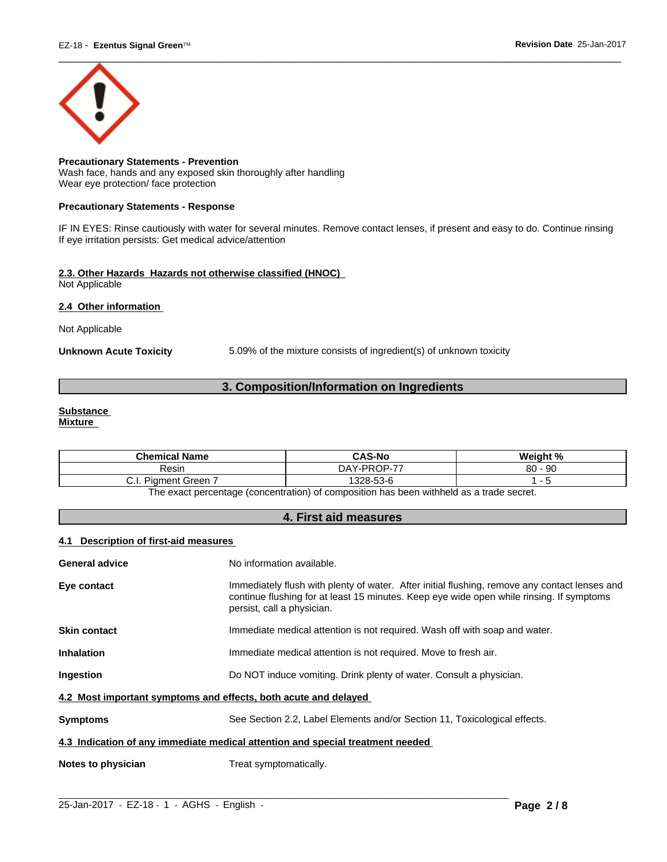

#### **Precautionary Statements - Prevention** Wash face, hands and any exposed skin thoroughly after handling Wear eye protection/ face protection

#### **Precautionary Statements - Response**

IF IN EYES: Rinse cautiously with water for several minutes. Remove contact lenses, if present and easy to do. Continue rinsing If eye irritation persists: Get medical advice/attention

#### **2.3. Other Hazards Hazards not otherwise classified (HNOC)** Not Applicable

#### **2.4 Other information**

Not Applicable

**Unknown Acute Toxicity** 5.09% of the mixture consists of ingredient(s) of unknown toxicity

# **3. Composition/Information on Ingredients**

# **Substance**

**Mixture**

| $\cdot$ Name<br><b>Chemical</b>   | <b>CAS-No</b>    | Weight %         |
|-----------------------------------|------------------|------------------|
| Resin                             | $PROP-77$<br>DAY | 80<br>റ്റ<br>ิษเ |
| -<br><b>Piament Green</b><br>◡.୲. | 328-53-6         |                  |

The exact percentage (concentration) of composition has been withheld as a trade secret.

# **4. First aid measures**

#### **4.1 Description of first-aid measures**

| <b>General advice</b>                                           | No information available.                                                                                                                                                                                               |  |  |  |
|-----------------------------------------------------------------|-------------------------------------------------------------------------------------------------------------------------------------------------------------------------------------------------------------------------|--|--|--|
| Eye contact                                                     | Immediately flush with plenty of water. After initial flushing, remove any contact lenses and<br>continue flushing for at least 15 minutes. Keep eye wide open while rinsing. If symptoms<br>persist, call a physician. |  |  |  |
| <b>Skin contact</b>                                             | Immediate medical attention is not required. Wash off with soap and water.                                                                                                                                              |  |  |  |
| <b>Inhalation</b>                                               | Immediate medical attention is not required. Move to fresh air.                                                                                                                                                         |  |  |  |
| Ingestion                                                       | Do NOT induce vomiting. Drink plenty of water. Consult a physician.                                                                                                                                                     |  |  |  |
| 4.2 Most important symptoms and effects, both acute and delayed |                                                                                                                                                                                                                         |  |  |  |
| <b>Symptoms</b>                                                 | See Section 2.2, Label Elements and/or Section 11, Toxicological effects.                                                                                                                                               |  |  |  |
|                                                                 | 4.3 Indication of any immediate medical attention and special treatment needed                                                                                                                                          |  |  |  |
| Notes to physician                                              | Treat symptomatically.                                                                                                                                                                                                  |  |  |  |
|                                                                 |                                                                                                                                                                                                                         |  |  |  |

 $\_$  ,  $\_$  ,  $\_$  ,  $\_$  ,  $\_$  ,  $\_$  ,  $\_$  ,  $\_$  ,  $\_$  ,  $\_$  ,  $\_$  ,  $\_$  ,  $\_$  ,  $\_$  ,  $\_$  ,  $\_$  ,  $\_$  ,  $\_$  ,  $\_$  ,  $\_$  ,  $\_$  ,  $\_$  ,  $\_$  ,  $\_$  ,  $\_$  ,  $\_$  ,  $\_$  ,  $\_$  ,  $\_$  ,  $\_$  ,  $\_$  ,  $\_$  ,  $\_$  ,  $\_$  ,  $\_$  ,  $\_$  ,  $\_$  ,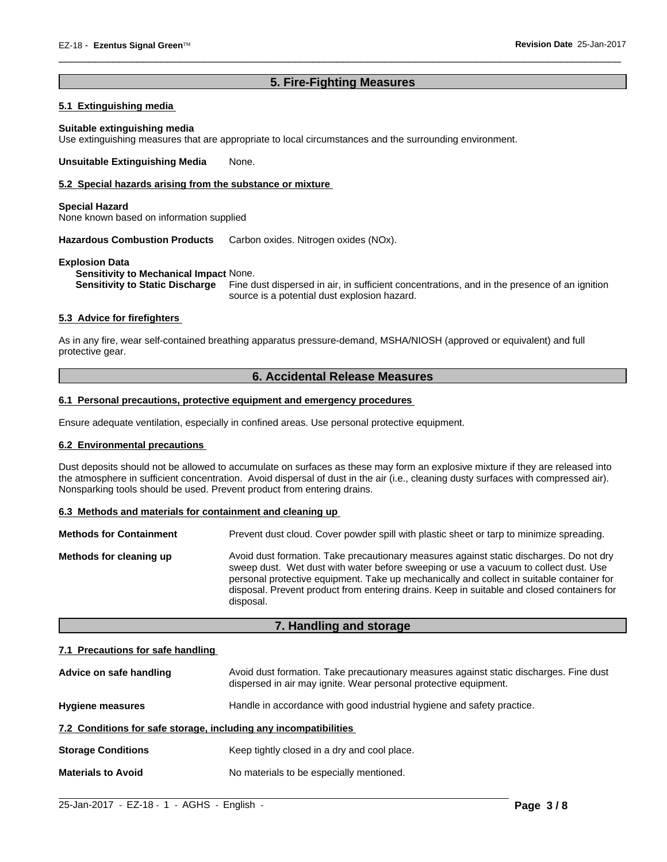# **5. Fire-Fighting Measures**

 $\overline{\phantom{a}}$  ,  $\overline{\phantom{a}}$  ,  $\overline{\phantom{a}}$  ,  $\overline{\phantom{a}}$  ,  $\overline{\phantom{a}}$  ,  $\overline{\phantom{a}}$  ,  $\overline{\phantom{a}}$  ,  $\overline{\phantom{a}}$  ,  $\overline{\phantom{a}}$  ,  $\overline{\phantom{a}}$  ,  $\overline{\phantom{a}}$  ,  $\overline{\phantom{a}}$  ,  $\overline{\phantom{a}}$  ,  $\overline{\phantom{a}}$  ,  $\overline{\phantom{a}}$  ,  $\overline{\phantom{a}}$ 

#### **5.1 Extinguishing media**

#### **Suitable extinguishing media**

Use extinguishing measures that are appropriate to local circumstances and the surrounding environment.

**Unsuitable Extinguishing Media** None.

#### **5.2 Special hazards arising from the substance or mixture**

#### **Special Hazard**

None known based on information supplied

**Hazardous Combustion Products** Carbon oxides. Nitrogen oxides (NOx).

#### **Explosion Data**

**Sensitivity to Mechanical Impact** None.

**Sensitivity to Static Discharge** Fine dust dispersed in air, in sufficient concentrations, and in the presence of an ignition source is a potential dust explosion hazard.

#### **5.3 Advice for firefighters**

As in any fire, wear self-contained breathing apparatus pressure-demand, MSHA/NIOSH (approved or equivalent) and full protective gear.

# **6. Accidental Release Measures**

# **6.1 Personal precautions, protective equipment and emergency procedures**

Ensure adequate ventilation, especially in confined areas. Use personal protective equipment.

#### **6.2 Environmental precautions**

Dust deposits should not be allowed to accumulate on surfaces as these may form an explosive mixture if they are released into the atmosphere in sufficient concentration. Avoid dispersal of dust in the air (i.e., cleaning dusty surfaces with compressed air). Nonsparking tools should be used. Prevent product from entering drains.

#### **6.3 Methods and materials for containment and cleaning up**

| <b>Methods for Containment</b> | Prevent dust cloud. Cover powder spill with plastic sheet or tarp to minimize spreading.                                                                                                                                                                                                                                                                                                |
|--------------------------------|-----------------------------------------------------------------------------------------------------------------------------------------------------------------------------------------------------------------------------------------------------------------------------------------------------------------------------------------------------------------------------------------|
| Methods for cleaning up        | Avoid dust formation. Take precautionary measures against static discharges. Do not dry<br>sweep dust. Wet dust with water before sweeping or use a vacuum to collect dust. Use<br>personal protective equipment. Take up mechanically and collect in suitable container for<br>disposal. Prevent product from entering drains. Keep in suitable and closed containers for<br>disposal. |

#### **7. Handling and storage**

#### **7.1 Precautions for safe handling**

| Advice on safe handling                                          | Avoid dust formation. Take precautionary measures against static discharges. Fine dust<br>dispersed in air may ignite. Wear personal protective equipment. |  |  |  |
|------------------------------------------------------------------|------------------------------------------------------------------------------------------------------------------------------------------------------------|--|--|--|
| <b>Hygiene measures</b>                                          | Handle in accordance with good industrial hygiene and safety practice.                                                                                     |  |  |  |
| 7.2 Conditions for safe storage, including any incompatibilities |                                                                                                                                                            |  |  |  |
| <b>Storage Conditions</b>                                        | Keep tightly closed in a dry and cool place.                                                                                                               |  |  |  |
| <b>Materials to Avoid</b>                                        | No materials to be especially mentioned.                                                                                                                   |  |  |  |

 $\_$  ,  $\_$  ,  $\_$  ,  $\_$  ,  $\_$  ,  $\_$  ,  $\_$  ,  $\_$  ,  $\_$  ,  $\_$  ,  $\_$  ,  $\_$  ,  $\_$  ,  $\_$  ,  $\_$  ,  $\_$  ,  $\_$  ,  $\_$  ,  $\_$  ,  $\_$  ,  $\_$  ,  $\_$  ,  $\_$  ,  $\_$  ,  $\_$  ,  $\_$  ,  $\_$  ,  $\_$  ,  $\_$  ,  $\_$  ,  $\_$  ,  $\_$  ,  $\_$  ,  $\_$  ,  $\_$  ,  $\_$  ,  $\_$  ,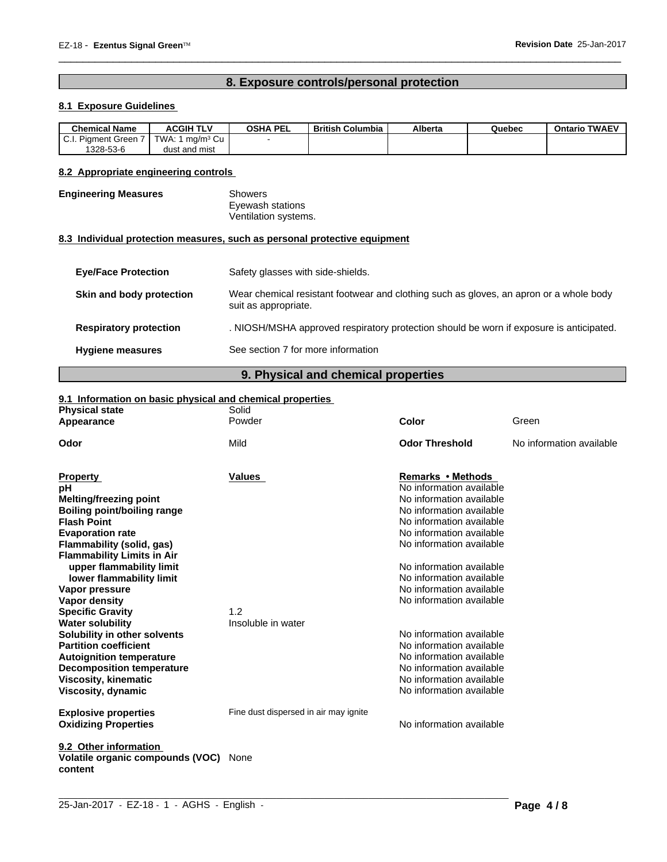# **8. Exposure controls/personal protection**

 $\overline{\phantom{a}}$  ,  $\overline{\phantom{a}}$  ,  $\overline{\phantom{a}}$  ,  $\overline{\phantom{a}}$  ,  $\overline{\phantom{a}}$  ,  $\overline{\phantom{a}}$  ,  $\overline{\phantom{a}}$  ,  $\overline{\phantom{a}}$  ,  $\overline{\phantom{a}}$  ,  $\overline{\phantom{a}}$  ,  $\overline{\phantom{a}}$  ,  $\overline{\phantom{a}}$  ,  $\overline{\phantom{a}}$  ,  $\overline{\phantom{a}}$  ,  $\overline{\phantom{a}}$  ,  $\overline{\phantom{a}}$ 

# **8.1 Exposure Guidelines**

| <b>Chemical Name</b>                               | <b>ACGIH TLV</b>                                 | <b>OSHA PEL</b> | <b>British Columbia</b> | Alberta | Quebec | <b>Ontario TWAEV</b> |
|----------------------------------------------------|--------------------------------------------------|-----------------|-------------------------|---------|--------|----------------------|
| $\sim$<br>÷.<br>Piament Green <sup>.</sup><br>v.i. | $\sim$ $\sim$<br>TWA.<br>ma/m <sup>3</sup><br>Cu |                 |                         |         |        |                      |
| 1328-53-6                                          | dust and mist                                    |                 |                         |         |        |                      |

#### **8.2 Appropriate engineering controls**

#### **Engineering Measures** Showers

Eyewash stations Ventilation systems.

#### **8.3 Individual protection measures, such as personal protective equipment**

| <b>Eye/Face Protection</b>    | Safety glasses with side-shields.                                                                              |
|-------------------------------|----------------------------------------------------------------------------------------------------------------|
| Skin and body protection      | Wear chemical resistant footwear and clothing such as gloves, an apron or a whole body<br>suit as appropriate. |
| <b>Respiratory protection</b> | . NIOSH/MSHA approved respiratory protection should be worn if exposure is anticipated.                        |
| <b>Hygiene measures</b>       | See section 7 for more information                                                                             |

# **9. Physical and chemical properties**

# **9.1 Information on basic physical and chemical properties**

| <b>Physical state</b>                       | Solid                                 |                          |                          |
|---------------------------------------------|---------------------------------------|--------------------------|--------------------------|
| Appearance                                  | Powder                                | Color                    | Green                    |
| Odor                                        | Mild                                  | <b>Odor Threshold</b>    | No information available |
|                                             |                                       |                          |                          |
| <b>Property</b>                             | Values                                | <b>Remarks • Methods</b> |                          |
| рH                                          |                                       | No information available |                          |
| <b>Melting/freezing point</b>               |                                       | No information available |                          |
| <b>Boiling point/boiling range</b>          |                                       | No information available |                          |
| <b>Flash Point</b>                          |                                       | No information available |                          |
| <b>Evaporation rate</b>                     |                                       | No information available |                          |
| Flammability (solid, gas)                   |                                       | No information available |                          |
| <b>Flammability Limits in Air</b>           |                                       |                          |                          |
| upper flammability limit                    |                                       | No information available |                          |
| lower flammability limit                    |                                       | No information available |                          |
| Vapor pressure                              |                                       | No information available |                          |
| <b>Vapor density</b>                        |                                       | No information available |                          |
| <b>Specific Gravity</b>                     | 1.2                                   |                          |                          |
| <b>Water solubility</b>                     | Insoluble in water                    |                          |                          |
| Solubility in other solvents                |                                       | No information available |                          |
| <b>Partition coefficient</b>                |                                       | No information available |                          |
| <b>Autoignition temperature</b>             |                                       | No information available |                          |
| <b>Decomposition temperature</b>            |                                       | No information available |                          |
| <b>Viscosity, kinematic</b>                 |                                       | No information available |                          |
| Viscosity, dynamic                          |                                       | No information available |                          |
|                                             |                                       |                          |                          |
| <b>Explosive properties</b>                 | Fine dust dispersed in air may ignite |                          |                          |
| <b>Oxidizing Properties</b>                 |                                       | No information available |                          |
| 9.2 Other information                       |                                       |                          |                          |
| Volatile organic compounds (VOC)<br>content | None                                  |                          |                          |
|                                             |                                       |                          |                          |

 $\_$  ,  $\_$  ,  $\_$  ,  $\_$  ,  $\_$  ,  $\_$  ,  $\_$  ,  $\_$  ,  $\_$  ,  $\_$  ,  $\_$  ,  $\_$  ,  $\_$  ,  $\_$  ,  $\_$  ,  $\_$  ,  $\_$  ,  $\_$  ,  $\_$  ,  $\_$  ,  $\_$  ,  $\_$  ,  $\_$  ,  $\_$  ,  $\_$  ,  $\_$  ,  $\_$  ,  $\_$  ,  $\_$  ,  $\_$  ,  $\_$  ,  $\_$  ,  $\_$  ,  $\_$  ,  $\_$  ,  $\_$  ,  $\_$  ,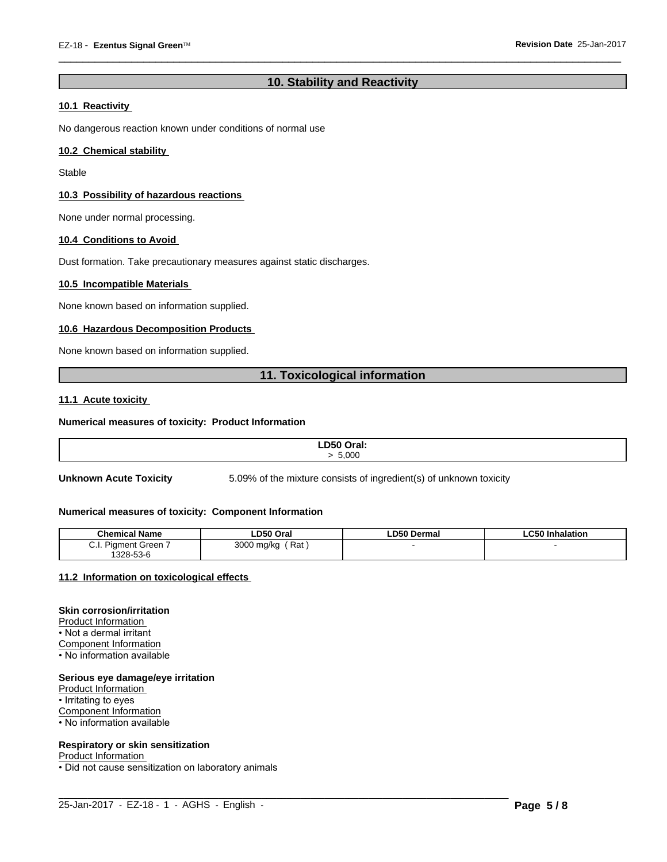# **10. Stability and Reactivity**

 $\overline{\phantom{a}}$  ,  $\overline{\phantom{a}}$  ,  $\overline{\phantom{a}}$  ,  $\overline{\phantom{a}}$  ,  $\overline{\phantom{a}}$  ,  $\overline{\phantom{a}}$  ,  $\overline{\phantom{a}}$  ,  $\overline{\phantom{a}}$  ,  $\overline{\phantom{a}}$  ,  $\overline{\phantom{a}}$  ,  $\overline{\phantom{a}}$  ,  $\overline{\phantom{a}}$  ,  $\overline{\phantom{a}}$  ,  $\overline{\phantom{a}}$  ,  $\overline{\phantom{a}}$  ,  $\overline{\phantom{a}}$ 

#### **10.1 Reactivity**

No dangerous reaction known under conditions of normal use

#### **10.2 Chemical stability**

Stable

#### **10.3 Possibility of hazardous reactions**

None under normal processing.

#### **10.4 Conditions to Avoid**

Dust formation. Take precautionary measures against static discharges.

#### **10.5 Incompatible Materials**

None known based on information supplied.

#### **10.6 Hazardous Decomposition Products**

None known based on information supplied.

# **11. Toxicological information**

#### **11.1 Acute toxicity**

#### **Numerical measures of toxicity: Product Information**

| LD50 Oral: |
|------------|
|            |
| 5.000      |
|            |
|            |

**Unknown Acute Toxicity** 5.09% of the mixture consists of ingredient(s) of unknown toxicity

#### **Numerical measures of toxicity: Component Information**

| <b>Chemical Name</b>            | LD50 Oral                                                  | LD50 Dermal | .C50 In<br>Inhalation |
|---------------------------------|------------------------------------------------------------|-------------|-----------------------|
| Piament Green<br>◡.୲.<br>$\sim$ | $\overline{\phantom{0}}$<br>3000<br>Rat<br>.) ma/ka<br>. . |             |                       |
| 1328-53-6                       |                                                            |             |                       |

 $\_$  ,  $\_$  ,  $\_$  ,  $\_$  ,  $\_$  ,  $\_$  ,  $\_$  ,  $\_$  ,  $\_$  ,  $\_$  ,  $\_$  ,  $\_$  ,  $\_$  ,  $\_$  ,  $\_$  ,  $\_$  ,  $\_$  ,  $\_$  ,  $\_$  ,  $\_$  ,  $\_$  ,  $\_$  ,  $\_$  ,  $\_$  ,  $\_$  ,  $\_$  ,  $\_$  ,  $\_$  ,  $\_$  ,  $\_$  ,  $\_$  ,  $\_$  ,  $\_$  ,  $\_$  ,  $\_$  ,  $\_$  ,  $\_$  ,

#### **11.2 Information on toxicologicaleffects**

#### **Skin corrosion/irritation**

Product Information • Not a dermal irritant Component Information • No information available

#### **Serious eye damage/eye irritation**

Product Information • Irritating to eyes Component Information • No information available

# **Respiratory or skin sensitization**

Product Information

• Did not cause sensitization on laboratory animals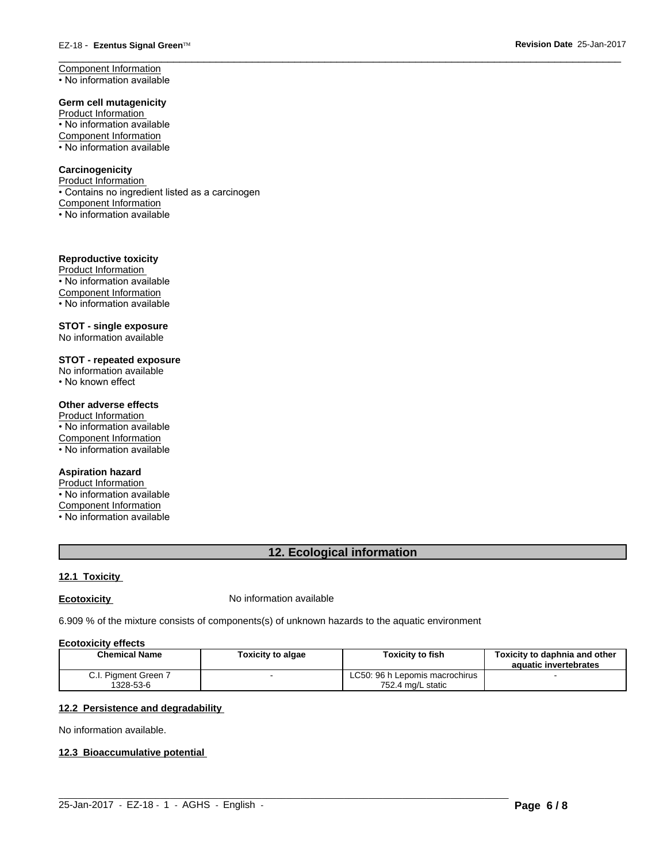Component Information • No information available

#### **Germ cell mutagenicity**

Product Information • No information available Component Information • No information available

#### **Carcinogenicity**

Product Information • Contains no ingredient listed as a carcinogen Component Information • No information available

#### **Reproductive toxicity**

Product Information • No information available Component Information • No information available

# **STOT - single exposure**

No information available

# **STOT - repeated exposure**

No information available

• No known effect

## **Other adverse effects**

Product Information • No information available Component Information • No information available

#### **Aspiration hazard**

Product Information • No information available

Component Information

• No information available

# **12. Ecological information**

 $\overline{\phantom{a}}$  ,  $\overline{\phantom{a}}$  ,  $\overline{\phantom{a}}$  ,  $\overline{\phantom{a}}$  ,  $\overline{\phantom{a}}$  ,  $\overline{\phantom{a}}$  ,  $\overline{\phantom{a}}$  ,  $\overline{\phantom{a}}$  ,  $\overline{\phantom{a}}$  ,  $\overline{\phantom{a}}$  ,  $\overline{\phantom{a}}$  ,  $\overline{\phantom{a}}$  ,  $\overline{\phantom{a}}$  ,  $\overline{\phantom{a}}$  ,  $\overline{\phantom{a}}$  ,  $\overline{\phantom{a}}$ 

#### **12.1 Toxicity**

**Ecotoxicity No information available** 

6.909 % of the mixture consists of components(s) of unknown hazards to the aquatic environment

#### **Ecotoxicity effects**

| Chemical Name        | Toxicity to algae | <b>Toxicity to fish</b>        | Toxicity to daphnia and other<br>aquatic invertebrates |
|----------------------|-------------------|--------------------------------|--------------------------------------------------------|
| C.I. Pigment Green 7 |                   | LC50: 96 h Lepomis macrochirus |                                                        |
| 1328-53-6            |                   | 752.4 mg/L static              |                                                        |

 $\_$  ,  $\_$  ,  $\_$  ,  $\_$  ,  $\_$  ,  $\_$  ,  $\_$  ,  $\_$  ,  $\_$  ,  $\_$  ,  $\_$  ,  $\_$  ,  $\_$  ,  $\_$  ,  $\_$  ,  $\_$  ,  $\_$  ,  $\_$  ,  $\_$  ,  $\_$  ,  $\_$  ,  $\_$  ,  $\_$  ,  $\_$  ,  $\_$  ,  $\_$  ,  $\_$  ,  $\_$  ,  $\_$  ,  $\_$  ,  $\_$  ,  $\_$  ,  $\_$  ,  $\_$  ,  $\_$  ,  $\_$  ,  $\_$  ,

# **12.2 Persistence and degradability**

No information available.

#### **12.3 Bioaccumulative potential**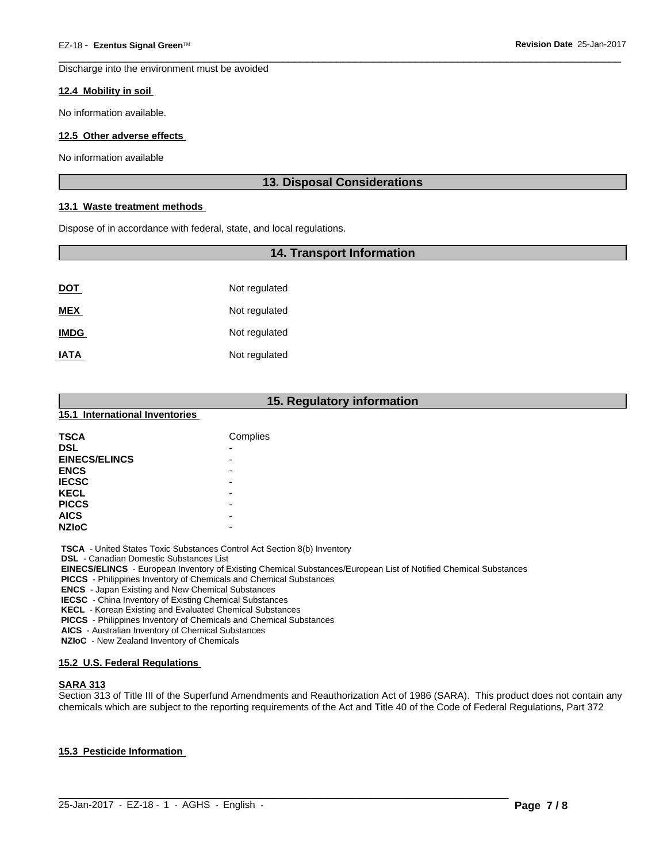Discharge into the environment must be avoided

#### **12.4 Mobility in soil**

No information available.

#### **12.5 Other adverse effects**

No information available

# **13. Disposal Considerations**

 $\overline{\phantom{a}}$  ,  $\overline{\phantom{a}}$  ,  $\overline{\phantom{a}}$  ,  $\overline{\phantom{a}}$  ,  $\overline{\phantom{a}}$  ,  $\overline{\phantom{a}}$  ,  $\overline{\phantom{a}}$  ,  $\overline{\phantom{a}}$  ,  $\overline{\phantom{a}}$  ,  $\overline{\phantom{a}}$  ,  $\overline{\phantom{a}}$  ,  $\overline{\phantom{a}}$  ,  $\overline{\phantom{a}}$  ,  $\overline{\phantom{a}}$  ,  $\overline{\phantom{a}}$  ,  $\overline{\phantom{a}}$ 

#### **13.1 Waste treatment methods**

Dispose of in accordance with federal, state, and local regulations.

#### **14. Transport Information**

| <u>DOT</u>  | Not regulated |
|-------------|---------------|
| <b>MEX</b>  | Not regulated |
| <b>IMDG</b> | Not regulated |
| <b>IATA</b> | Not regulated |

# **15. Regulatory information**

#### **15.1 International Inventories**

| <b>TSCA</b>          | Complies                 |
|----------------------|--------------------------|
| <b>DSL</b>           | -                        |
| <b>EINECS/ELINCS</b> | $\overline{\phantom{0}}$ |
| <b>ENCS</b>          | -                        |
| <b>IECSC</b>         | -                        |
| <b>KECL</b>          | -                        |
| <b>PICCS</b>         | -                        |
| <b>AICS</b>          | -                        |
| <b>NZIOC</b>         | -                        |

 **TSCA** - United States Toxic Substances Control Act Section 8(b) Inventory

 **DSL** - Canadian Domestic Substances List

 **EINECS/ELINCS** - European Inventory of Existing Chemical Substances/European List of Notified Chemical Substances

 **PICCS** - Philippines Inventory of Chemicals and Chemical Substances

 **ENCS** - Japan Existing and New Chemical Substances

 **IECSC** - China Inventory of Existing Chemical Substances

 **KECL** - Korean Existing and Evaluated Chemical Substances

 **PICCS** - Philippines Inventory of Chemicals and Chemical Substances

 **AICS** - Australian Inventory of Chemical Substances

 **NZIoC** - New Zealand Inventory of Chemicals

#### **15.2 U.S. Federal Regulations**

#### **SARA 313**

Section 313 of Title III of the Superfund Amendments and Reauthorization Act of 1986 (SARA). This product does not contain any chemicals which are subject to the reporting requirements of the Act and Title 40 of the Code of Federal Regulations, Part 372

 $\_$  ,  $\_$  ,  $\_$  ,  $\_$  ,  $\_$  ,  $\_$  ,  $\_$  ,  $\_$  ,  $\_$  ,  $\_$  ,  $\_$  ,  $\_$  ,  $\_$  ,  $\_$  ,  $\_$  ,  $\_$  ,  $\_$  ,  $\_$  ,  $\_$  ,  $\_$  ,  $\_$  ,  $\_$  ,  $\_$  ,  $\_$  ,  $\_$  ,  $\_$  ,  $\_$  ,  $\_$  ,  $\_$  ,  $\_$  ,  $\_$  ,  $\_$  ,  $\_$  ,  $\_$  ,  $\_$  ,  $\_$  ,  $\_$  ,

#### **15.3 Pesticide Information**